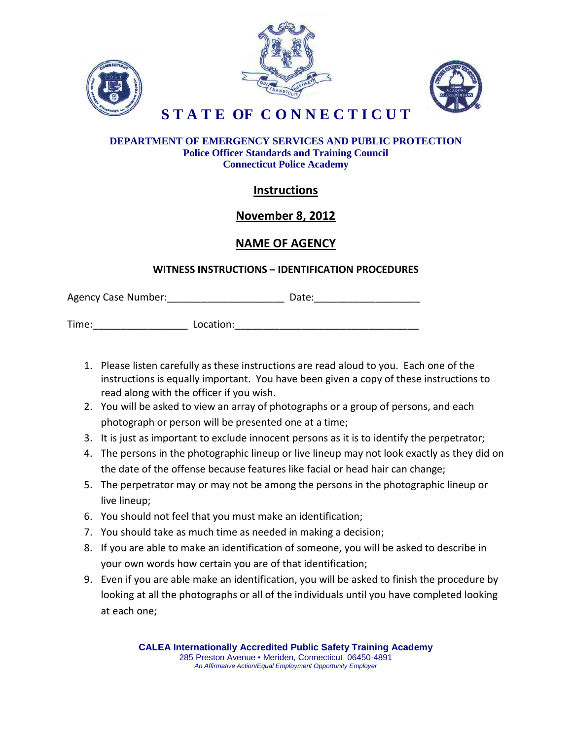





**S T A T E OF C O N N E C T I C U T**

#### **DEPARTMENT OF EMERGENCY SERVICES AND PUBLIC PROTECTION Police Officer Standards and Training Council Connecticut Police Academy**

# **Instructions**

## **November 8, 2012**

## **NAME OF AGENCY**

### **WITNESS INSTRUCTIONS – IDENTIFICATION PROCEDURES**

| <b>Agency Case Number:</b> |  | Date: |
|----------------------------|--|-------|
|----------------------------|--|-------|

Time: Time: Example 2014

- 1. Please listen carefully as these instructions are read aloud to you. Each one of the instructions is equally important. You have been given a copy of these instructions to read along with the officer if you wish.
- 2. You will be asked to view an array of photographs or a group of persons, and each photograph or person will be presented one at a time;
- 3. It is just as important to exclude innocent persons as it is to identify the perpetrator;
- 4. The persons in the photographic lineup or live lineup may not look exactly as they did on the date of the offense because features like facial or head hair can change;
- 5. The perpetrator may or may not be among the persons in the photographic lineup or live lineup;
- 6. You should not feel that you must make an identification;
- 7. You should take as much time as needed in making a decision;
- 8. If you are able to make an identification of someone, you will be asked to describe in your own words how certain you are of that identification;
- 9. Even if you are able make an identification, you will be asked to finish the procedure by looking at all the photographs or all of the individuals until you have completed looking at each one;